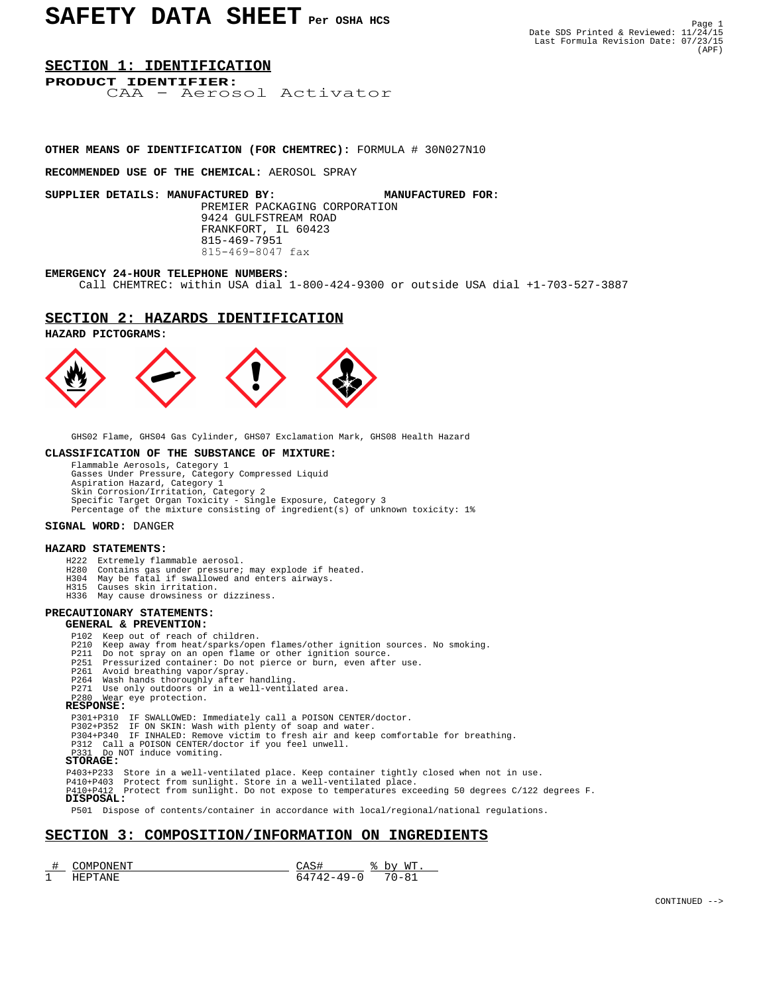### **SECTION 1: IDENTIFICATION**

**PRODUCT IDENTIFIER:** CAA - Aerosol Activator

#### **OTHER MEANS OF IDENTIFICATION (FOR CHEMTREC):** FORMULA # 30N027N10

**RECOMMENDED USE OF THE CHEMICAL:** AEROSOL SPRAY

**SUPPLIER DETAILS: MANUFACTURED BY: MANUFACTURED FOR:** PREMIER PACKAGING CORPORATION 9424 GULFSTREAM ROAD FRANKFORT, IL 60423 815-469-7951 815-469-8047 fax

#### **EMERGENCY 24-HOUR TELEPHONE NUMBERS:**

Call CHEMTREC: within USA dial 1-800-424-9300 or outside USA dial +1-703-527-3887

### **SECTION 2: HAZARDS IDENTIFICATION**

**HAZARD PICTOGRAMS:**



GHS02 Flame, GHS04 Gas Cylinder, GHS07 Exclamation Mark, GHS08 Health Hazard

#### **CLASSIFICATION OF THE SUBSTANCE OF MIXTURE:**

 Flammable Aerosols, Category 1 Gasses Under Pressure, Category Compressed Liquid Aspiration Hazard, Category 1 Skin Corrosion/Irritation, Category 2 Specific Target Organ Toxicity - Single Exposure, Category 3 Percentage of the mixture consisting of ingredient(s) of unknown toxicity: 1%

#### **SIGNAL WORD:** DANGER

#### **HAZARD STATEMENTS:**

- H222 Extremely flammable aerosol.<br>H280 Contains gas under pressure;
- Contains gas under pressure; may explode if heated.
- H304 May be fatal if swallowed and enters airways.
- H315 Causes skin irritation.
- H336 May cause drowsiness or dizziness.

# **PRECAUTIONARY STATEMENTS:**

#### **GENERAL & PREVENTION:**

- P102 Keep out of reach of children.
- P210 Keep away from heat/sparks/open flames/other ignition sources. No smoking.<br>P211 Do not spray on an open flame or other ignition source.
- P211 Do not spray on an open flame or other ignition source. P251 Pressurized container: Do not pierce or burn, even after use.
	-
	-
- P261 Avoid breathing vapor/spray. P264 Wash hands thoroughly after handling.
- P271 Use only outdoors or in a well-ventilated area. P280 Wear eye protection.  **RESPONSE:**

- 
- P301+P310 IF SWALLOWED: Immediately call a POISON CENTER/doctor. P302+P352 IF ON SKIN: Wash with plenty of soap and water. P304+P340 IF INHALED: Remove victim to fresh air and keep comfortable for breathing.
	- P312 Call a POISON CENTER/doctor if you feel unwell. Do NOT induce vomiting.

#### **STORAGE:**

P403+P233 Store in a well-ventilated place. Keep container tightly closed when not in use.

P410+P403 Protect from sunlight. Store in a well-ventilated place. P410+P412 Protect from sunlight. Do not expose to temperatures exceeding 50 degrees C/122 degrees F.

### **DISPOSAL:**

P501 Dispose of contents/container in accordance with local/regional/national regulations.

# **SECTION 3: COMPOSITION/INFORMATION ON INGREDIENTS**

|                      | ש ואנ<br>1N H.<br>NP |                 | <b>MT</b><br>י גרי<br>- |
|----------------------|----------------------|-----------------|-------------------------|
| $\overline{ }$<br>-- | `N H                 | $  -$<br>$\sim$ | -                       |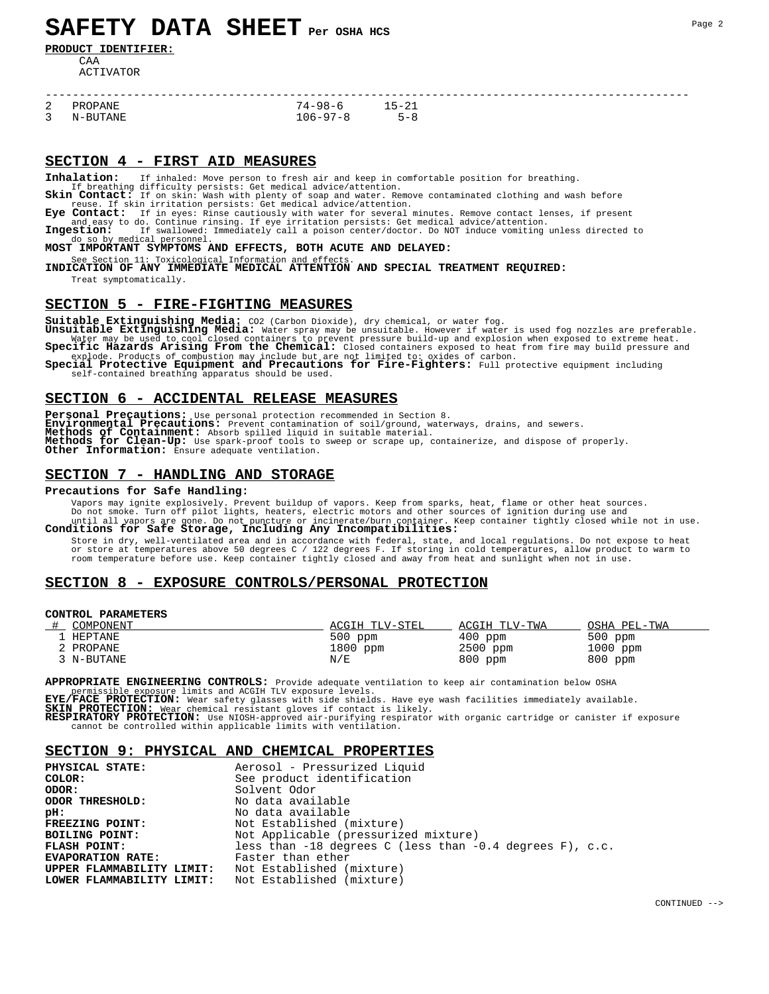# **SAFETY DATA SHEET Per OSHA HCS**

**PRODUCT IDENTIFIER:**

CAA ACTIVATOR

| 2 PROPANE  | 74–98–6  | 1 1 - 21 |
|------------|----------|----------|
| 3 N-BUTANE | 106-97-8 | 5-8      |

# **SECTION 4 - FIRST AID MEASURES**

-----------------------------------------------------------------------------------------------

**Inhalation:** If inhaled: Move person to fresh air and keep in comfortable position for breathing.

If breathing difficulty persists: Get medical advice/attention.<br>**Skin Contact:** If on skin: Wash with plenty of soap and water. Remove contaminated clothing and wash before<br>reuse. If skin irritation persists: Get medical a

**Eye Contact:** If in eyes: Rinse cautiously with water for several minutes. Remove contact lenses, if present and easy to do. Continue rinsing. If eye irritation persists: Get medical advice/attention.

**Ingestion:** If swallowed: Immediately call a poison center/doctor. Do NOT induce vomiting unless directed to do so by medical personnel.<br>**MOST IMPORTANT SYMPTOMS AND EFFECTS, BOTH ACUTE AND DELAYED:** 

See Section 11: Toxicological Information and effects.<br>**INDICATION OF ANY IMMEDIATE MEDICAL ATTENTION AND SPECIAL TREATMENT REQUIRED:** 

Treat symptomatically.

#### **SECTION 5 - FIRE-FIGHTING MEASURES**

Suitable Extinguishing Media: CO2 (Carbon Dioxide), dry chemical, or water fog.<br>Unsuitable Extinguishing Media: Water spray may be unsuitable. However if water is used fog nozzles are preferable.<br>Water may be used to cool

explode. Products of combustion may include but are not limited to: oxides of carbon.<br>**Special Protective Equipment and Precautions for Fire-Fighters:** Full protective equipment including self-contained breathing apparatus should be used.

# **SECTION 6 - ACCIDENTAL RELEASE MEASURES**

**Personal Precautions:** Use personal protection recommended in Section 8.<br>**Environmental Precautions:** Prevent contamination of soil/ground, waterways, drains, and sewers.<br>**Methods of Containment:** Absorb spilled liquid in **Methods for Clean-Up:** Use spark-proof tools to sweep or scrape up, containerize, and dispose of properly. **Other Information:** Ensure adequate ventilation.

# **SECTION 7 - HANDLING AND STORAGE**

#### **Precautions for Safe Handling:**

Vapors may ignite explosively. Prevent buildup of vapors. Keep from sparks, heat, flame or other heat sources.

Do not smoke. Turn off pilot lights, heaters, electric motors and other sources of ignition during use and<br>until all vapors are gone. Do not puncture or incinerate/burn container. Keep container tightly closed while not in

Store in dry, well-ventilated area and in accordance with federal, state, and local regulations. Do not expose to heat<br>or store at temperatures above 50 degrees C / 122 degrees F. If storing in cold temperatures, allow pro

# **SECTION 8 - EXPOSURE CONTROLS/PERSONAL PROTECTION**

#### **CONTROL PARAMETERS**

| COMPONENT  | ACGIH TLV-STEL | ACGIH TLV-TWA | OSHA PEL-TWA |
|------------|----------------|---------------|--------------|
| HEPTANE    | $500$ ppm      | $400$ ppm     | $500$ ppm    |
| PROPANE    | 1800 ppm       | $2500$ ppm    | $1000$ ppm   |
| 3 N-BUTANE | N/E            | 800 ppm       | 800 ppm      |

**APPROPRIATE ENGINEERING CONTROLS:** Provide adequate ventilation to keep air contamination below OSHA permissible exposure limits and ACGIH TLV exposure levels.<br>**EYE/FACE PROTECTION:** Wear safety glasses with side shields. Have eye wash facilities immediately available.

**SKIN PROTECTION:** Wear chemical resistant gloves if contact is likely.

**RESPIRATORY PROTECTION:** Use NIOSH-approved air-purifying respirator with organic cartridge or canister if exposure cannot be controlled within applicable limits with ventilation.

# **SECTION 9: PHYSICAL AND CHEMICAL PROPERTIES**

| PHYSICAL STATE:           | Aerosol - Pressurized Liquid                                 |
|---------------------------|--------------------------------------------------------------|
| COLOR:                    | See product identification                                   |
| ODOR:                     | Solvent Odor                                                 |
| ODOR THRESHOLD:           | No data available                                            |
| pH:                       | No data available                                            |
| FREEZING POINT:           | Not Established (mixture)                                    |
| BOILING POINT:            | Not Applicable (pressurized mixture)                         |
| FLASH POINT:              | less than $-18$ degrees C (less than $-0.4$ degrees F), c.c. |
| <b>EVAPORATION RATE:</b>  | Faster than ether                                            |
| UPPER FLAMMABILITY LIMIT: | Not Established (mixture)                                    |
| LOWER FLAMMABILITY LIMIT: | Not Established (mixture)                                    |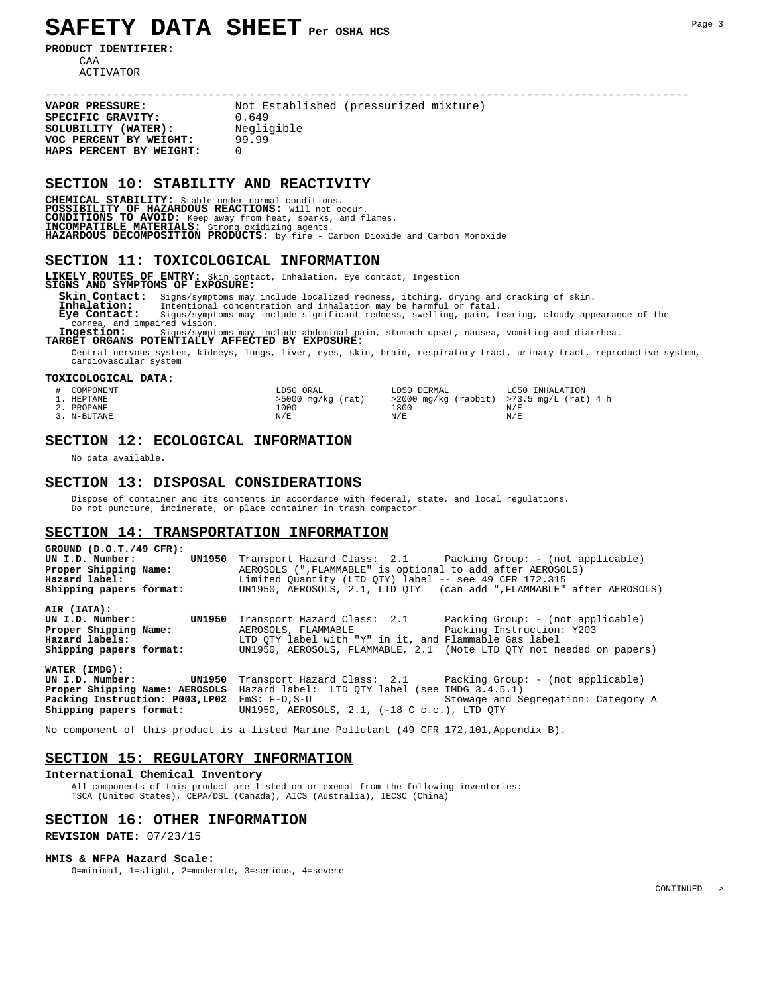# **SAFETY DATA SHEET Per OSHA HCS**

**PRODUCT IDENTIFIER:**

CAA ACTIVATOR

----------------------------------------------------------------------------------------------- Not Established (pressurized mixture)<br>0.649 **SPECIFIC GRAVITY:** 0.649<br>**SOLUBILITY (WATER):** Negligible **SOLUBILITY (WATER):** Negli<br> **VOC PERCENT BY WEIGHT:** 99.99<br> **HAPS PERCENT BY WEIGHT:** 0 **VOC PERCENT BY WEIGHT:** 99.99 **HAPS PERCENT BY WEIGHT:** 0

#### **SECTION 10: STABILITY AND REACTIVITY**

**CHEMICAL STABILITY:** Stable under normal conditions. POSSIBILITY OF HAZARDOUS REACTIONS: Will not occur.<br>CONDITIONS TO AVOID: Keep away from heat, sparks, and flames.<br>INCOMPATIBLE MATERIALS: Strong oxidizing agents.<br>HAZARDOUS DECOMPOSITION PRODUCTS: by fire - Carbon Dioxide

#### **SECTION 11: TOXICOLOGICAL INFORMATION**

**LIKELY ROUTES OF ENTRY:** Skin contact, Inhalation, Eye contact, Ingestion **SIGNS AND SYMPTOMS OF EXPOSURE:**

 **Skin Contact:** Signs/symptoms may include localized redness, itching, drying and cracking of skin.  **Inhalation:** Intentional concentration and inhalation may be harmful or fatal.

**Eye Contact:** Signs/symptoms may include significant redness, swelling, pain, tearing, cloudy appearance of the cornea, and impaired vision.<br>**Inqestion:** Signs/symptoms may include abdominal pain, stomach upset, nausea, v and impaired vision.

 **Ingestion:** Signs/symptoms may include abdominal pain, stomach upset, nausea, vomiting and diarrhea. **TARGET ORGANS POTENTIALLY AFFECTED BY EXPOSURE:**

 Central nervous system, kidneys, lungs, liver, eyes, skin, brain, respiratory tract, urinary tract, reproductive system, cardiovascular system

#### **TOXICOLOGICAL DATA:**

| COMPONENT   | LD50<br>ORAL        | LD50 DERMAL | .050<br>INHALATION                            |
|-------------|---------------------|-------------|-----------------------------------------------|
| HEPTANE     | $>5000$ mg/kg (rat) |             | $>2000$ mg/kg (rabbit) $>73.5$ mg/L (rat) 4 h |
| PROPANE     | 1000                | ⊥800        | N/E                                           |
| 3. N-BUTANE | N/E                 | N/E         | N/E                                           |

# **SECTION 12: ECOLOGICAL INFORMATION**

No data available.

## **SECTION 13: DISPOSAL CONSIDERATIONS**

 Dispose of container and its contents in accordance with federal, state, and local regulations. Do not puncture, incinerate, or place container in trash compactor.

# **SECTION 14: TRANSPORTATION INFORMATION**

**GROUND (D.O.T./49 CFR):**  UN I.D. Number: UN1950 Transport Hazard Class: 2.1 Packing Group: - (not applicable)<br>**Proper Shipping Name:** AEROSOLS (",FLAMMABLE" is optional to add after AEROSOLS) **Proper Shipping Name:** AEROSOLS (",FLAMMABLE" is optional to add after AEROSOLS)<br>**Hazard label:** Limited Quantity (LTD QTY) label -- see 49 CFR 172.315 Hazard label: **Limited Quantity (LTD QTY)** label -- see 49 CFR 172.315 Shipping papers format: **WALGEY** UN1950, AEROSOLS, 2.1, LTD QTY (can add ",FLAMMABLE" (can add ", FLAMMABLE" after AEROSOLS) **AIR (IATA):**  UN I.D. Number: UN1950 Transport Hazard Class: 2.1 Packing Group: - (not applicable)<br>**Proper Shipping Name:** AEROSOLS, FLAMMABLE Packing Instruction: Y203 **Proper Shipping Name:** AEROSOLS, FLAMMABLE Packing Instruction: Y203 **Hazard labels:** LTD QTY label with "Y" in it, and Flammable Gas label **Shipping papers format:** UN1950, AEROSOLS, FLAMMABLE, 2.1 (Note LTD QTY not needed on papers) **WATER (IMDG): UN I.D. Number: UN1950** Transport Hazard Class: 2.1 Packing Group: - (not applicable) **Proper Shipping Name: AEROSOLS** Hazard label: LTD QTY label (see IMDG 3.4.5.1) **Packing Instruction: P003, LP02** EmS: F-D, S-U Stowage and Segregation: Category A **Shipping papers format:** UN1950, AEROSOLS, 2.1, (-18 C c.c.), LTD QTY

No component of this product is a listed Marine Pollutant (49 CFR 172,101,Appendix B).

# **SECTION 15: REGULATORY INFORMATION**

# **International Chemical Inventory**

All components of this product are listed on or exempt from the following inventories: TSCA (United States), CEPA/DSL (Canada), AICS (Australia), IECSC (China)

# **SECTION 16: OTHER INFORMATION**

**REVISION DATE:** 07/23/15

#### **HMIS & NFPA Hazard Scale:**

0=minimal, 1=slight, 2=moderate, 3=serious, 4=severe